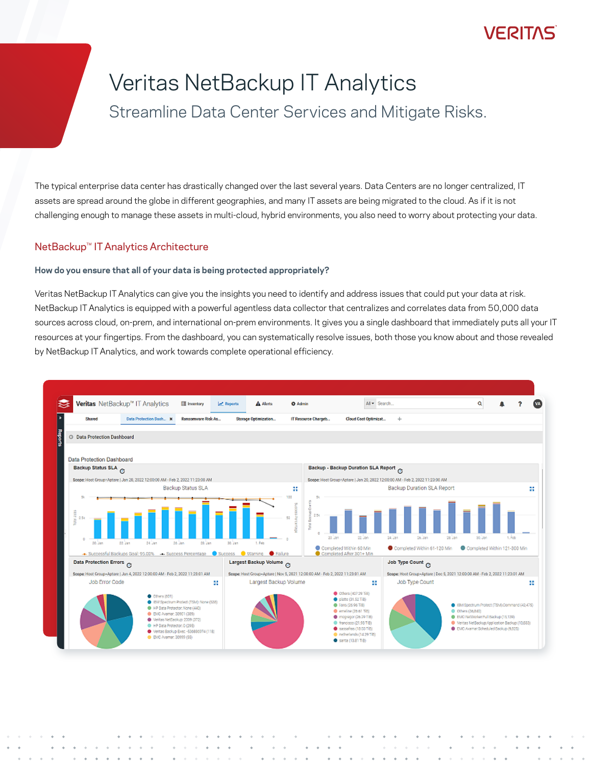## VERITAS

# Veritas NetBackup IT Analytics

Streamline Data Center Services and Mitigate Risks.

The typical enterprise data center has drastically changed over the last several years. Data Centers are no longer centralized, IT assets are spread around the globe in different geographies, and many IT assets are being migrated to the cloud. As if it is not challenging enough to manage these assets in multi-cloud, hybrid environments, you also need to worry about protecting your data.

## NetBackup™ IT Analytics Architecture

### **How do you ensure that all of your data is being protected appropriately?**

Veritas NetBackup IT Analytics can give you the insights you need to identify and address issues that could put your data at risk. NetBackup IT Analytics is equipped with a powerful agentless data collector that centralizes and correlates data from 50,000 data sources across cloud, on-prem, and international on-prem environments. It gives you a single dashboard that immediately puts all your IT resources at your fingertips. From the dashboard, you can systematically resolve issues, both those you know about and those revealed by NetBackup IT Analytics, and work towards complete operational efficiency.

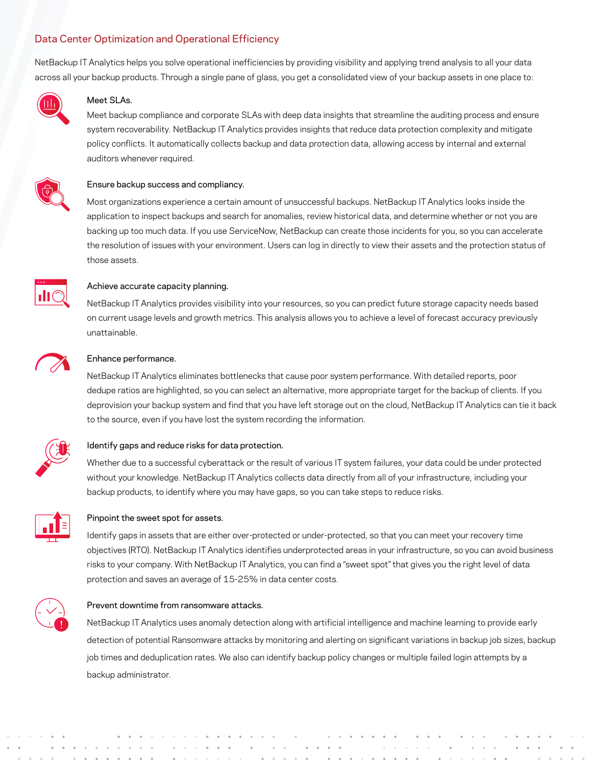## Data Center Optimization and Operational Efficiency

NetBackup IT Analytics helps you solve operational inefficiencies by providing visibility and applying trend analysis to all your data across all your backup products. Through a single pane of glass, you get a consolidated view of your backup assets in one place to:



#### Meet SLAs.

Meet backup compliance and corporate SLAs with deep data insights that streamline the auditing process and ensure system recoverability. NetBackup IT Analytics provides insights that reduce data protection complexity and mitigate policy conflicts. It automatically collects backup and data protection data, allowing access by internal and external auditors whenever required.



#### Ensure backup success and compliancy.

Most organizations experience a certain amount of unsuccessful backups. NetBackup IT Analytics looks inside the application to inspect backups and search for anomalies, review historical data, and determine whether or not you are backing up too much data. If you use ServiceNow, NetBackup can create those incidents for you, so you can accelerate the resolution of issues with your environment. Users can log in directly to view their assets and the protection status of those assets.



#### Achieve accurate capacity planning.

NetBackup IT Analytics provides visibility into your resources, so you can predict future storage capacity needs based on current usage levels and growth metrics. This analysis allows you to achieve a level of forecast accuracy previously unattainable.



#### Enhance performance.

NetBackup IT Analytics eliminates bottlenecks that cause poor system performance. With detailed reports, poor dedupe ratios are highlighted, so you can select an alternative, more appropriate target for the backup of clients. If you deprovision your backup system and find that you have left storage out on the cloud, NetBackup IT Analytics can tie it back to the source, even if you have lost the system recording the information.



#### Identify gaps and reduce risks for data protection.

Whether due to a successful cyberattack or the result of various IT system failures, your data could be under protected without your knowledge. NetBackup IT Analytics collects data directly from all of your infrastructure, including your backup products, to identify where you may have gaps, so you can take steps to reduce risks.



#### Pinpoint the sweet spot for assets.

Identify gaps in assets that are either over-protected or under-protected, so that you can meet your recovery time objectives (RTO). NetBackup IT Analytics identifies underprotected areas in your infrastructure, so you can avoid business risks to your company. With NetBackup IT Analytics, you can find a "sweet spot" that gives you the right level of data protection and saves an average of 15-25% in data center costs.



#### Prevent downtime from ransomware attacks.

NetBackup IT Analytics uses anomaly detection along with artificial intelligence and machine learning to provide early detection of potential Ransomware attacks by monitoring and alerting on significant variations in backup job sizes, backup job times and deduplication rates. We also can identify backup policy changes or multiple failed login attempts by a backup administrator.